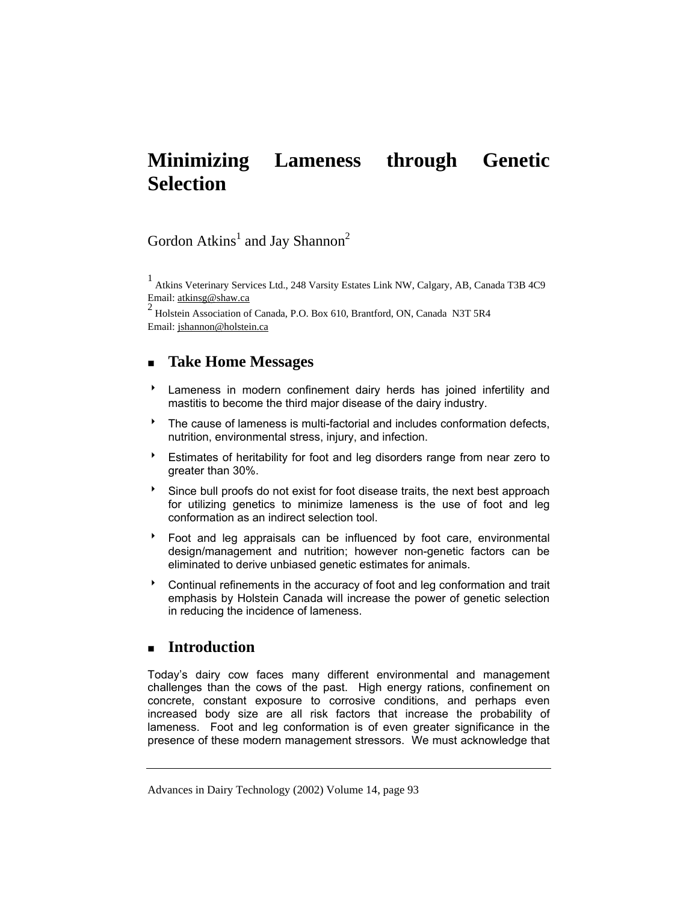# **Minimizing Lameness through Genetic Selection**

# Gordon Atkins<sup>1</sup> and Jay Shannon<sup>2</sup>

1 Atkins Veterinary Services Ltd., 248 Varsity Estates Link NW, Calgary, AB, Canada T3B 4C9 Email: atkinsg@shaw.ca

 $2$  Holstein Association of Canada, P.O. Box 610, Brantford, ON, Canada N3T 5R4 Email: jshannon@holstein.ca

# **Take Home Messages**

- **EXEC** Lameness in modern confinement dairy herds has joined infertility and mastitis to become the third major disease of the dairy industry.
- $\bullet$  The cause of lameness is multi-factorial and includes conformation defects, nutrition, environmental stress, injury, and infection.
- 8 Estimates of heritability for foot and leg disorders range from near zero to greater than 30%.
- $\bullet$  Since bull proofs do not exist for foot disease traits, the next best approach for utilizing genetics to minimize lameness is the use of foot and leg conformation as an indirect selection tool.
- 8 Foot and leg appraisals can be influenced by foot care, environmental design/management and nutrition; however non-genetic factors can be eliminated to derive unbiased genetic estimates for animals.
- **BED Continual refinements in the accuracy of foot and leg conformation and trait** emphasis by Holstein Canada will increase the power of genetic selection in reducing the incidence of lameness.

# **Introduction**

Today's dairy cow faces many different environmental and management challenges than the cows of the past. High energy rations, confinement on concrete, constant exposure to corrosive conditions, and perhaps even increased body size are all risk factors that increase the probability of lameness. Foot and leg conformation is of even greater significance in the presence of these modern management stressors. We must acknowledge that

Advances in Dairy Technology (2002) Volume 14, page 93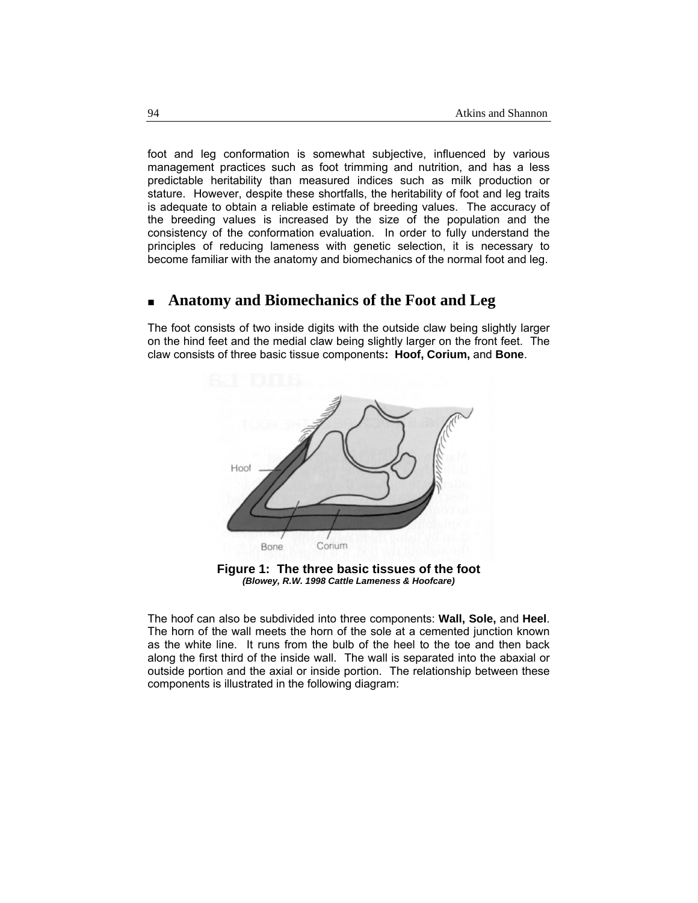foot and leg conformation is somewhat subjective, influenced by various management practices such as foot trimming and nutrition, and has a less predictable heritability than measured indices such as milk production or stature. However, despite these shortfalls, the heritability of foot and leg traits is adequate to obtain a reliable estimate of breeding values. The accuracy of the breeding values is increased by the size of the population and the consistency of the conformation evaluation. In order to fully understand the principles of reducing lameness with genetic selection, it is necessary to become familiar with the anatomy and biomechanics of the normal foot and leg.

# **Anatomy and Biomechanics of the Foot and Leg**

The foot consists of two inside digits with the outside claw being slightly larger on the hind feet and the medial claw being slightly larger on the front feet. The claw consists of three basic tissue components**: Hoof, Corium,** and **Bone**.



**Figure 1: The three basic tissues of the foot**  *(Blowey, R.W. 1998 Cattle Lameness & Hoofcare)* 

The hoof can also be subdivided into three components: **Wall, Sole,** and **Heel**. The horn of the wall meets the horn of the sole at a cemented junction known as the white line. It runs from the bulb of the heel to the toe and then back along the first third of the inside wall. The wall is separated into the abaxial or outside portion and the axial or inside portion. The relationship between these components is illustrated in the following diagram: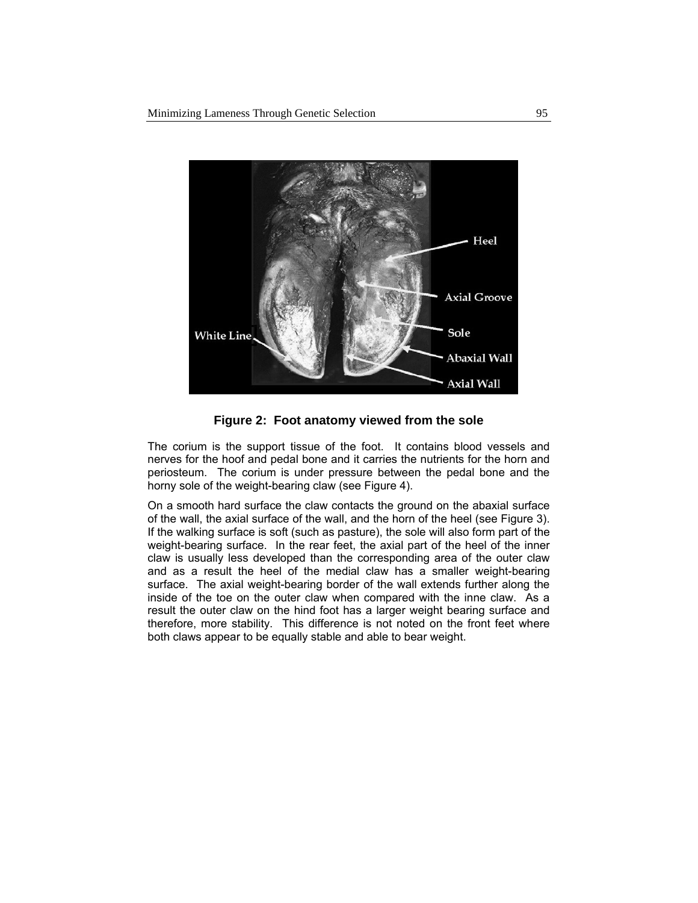

**Figure 2: Foot anatomy viewed from the sole** 

The corium is the support tissue of the foot. It contains blood vessels and nerves for the hoof and pedal bone and it carries the nutrients for the horn and periosteum. The corium is under pressure between the pedal bone and the horny sole of the weight-bearing claw (see Figure 4).

On a smooth hard surface the claw contacts the ground on the abaxial surface of the wall, the axial surface of the wall, and the horn of the heel (see Figure 3). If the walking surface is soft (such as pasture), the sole will also form part of the weight-bearing surface. In the rear feet, the axial part of the heel of the inner claw is usually less developed than the corresponding area of the outer claw and as a result the heel of the medial claw has a smaller weight-bearing surface. The axial weight-bearing border of the wall extends further along the inside of the toe on the outer claw when compared with the inne claw. As a result the outer claw on the hind foot has a larger weight bearing surface and therefore, more stability. This difference is not noted on the front feet where both claws appear to be equally stable and able to bear weight.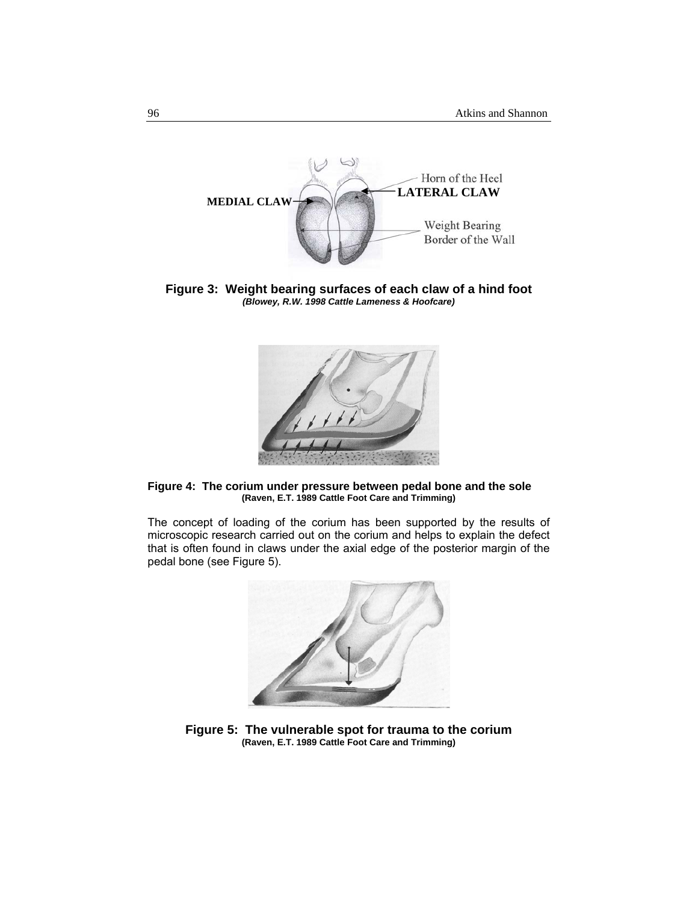

**Figure 3: Weight bearing surfaces of each claw of a hind foot**  *(Blowey, R.W. 1998 Cattle Lameness & Hoofcare)* 



**Figure 4: The corium under pressure between pedal bone and the sole (Raven, E.T. 1989 Cattle Foot Care and Trimming)** 

The concept of loading of the corium has been supported by the results of microscopic research carried out on the corium and helps to explain the defect that is often found in claws under the axial edge of the posterior margin of the pedal bone (see Figure 5).



**Figure 5: The vulnerable spot for trauma to the corium (Raven, E.T. 1989 Cattle Foot Care and Trimming)**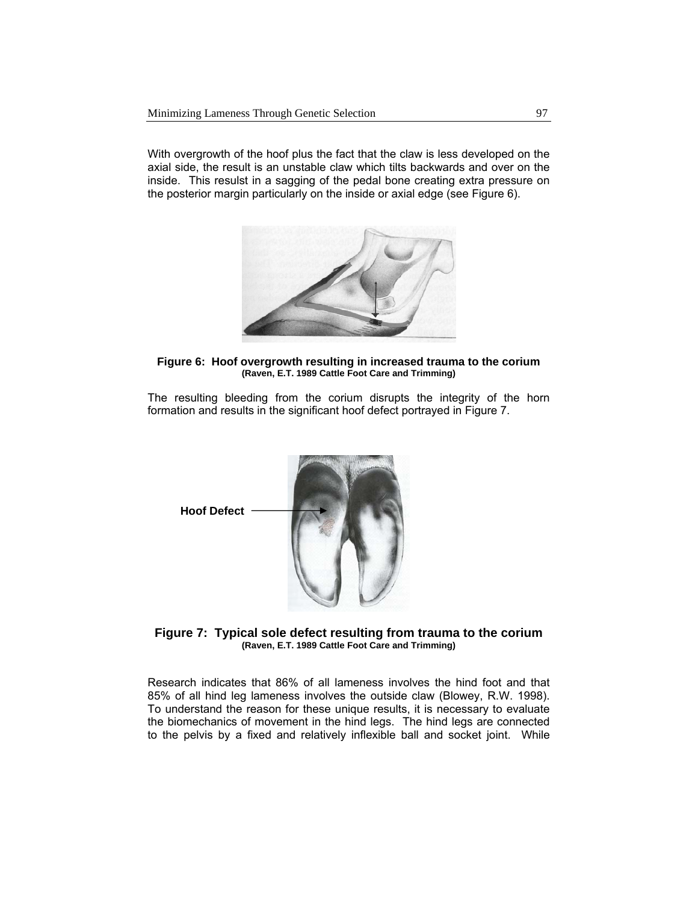With overgrowth of the hoof plus the fact that the claw is less developed on the axial side, the result is an unstable claw which tilts backwards and over on the inside. This resulst in a sagging of the pedal bone creating extra pressure on the posterior margin particularly on the inside or axial edge (see Figure 6).



**Figure 6: Hoof overgrowth resulting in increased trauma to the corium (Raven, E.T. 1989 Cattle Foot Care and Trimming)** 

The resulting bleeding from the corium disrupts the integrity of the horn formation and results in the significant hoof defect portrayed in Figure 7.



**Figure 7: Typical sole defect resulting from trauma to the corium (Raven, E.T. 1989 Cattle Foot Care and Trimming)** 

Research indicates that 86% of all lameness involves the hind foot and that 85% of all hind leg lameness involves the outside claw (Blowey, R.W. 1998). To understand the reason for these unique results, it is necessary to evaluate the biomechanics of movement in the hind legs. The hind legs are connected to the pelvis by a fixed and relatively inflexible ball and socket joint. While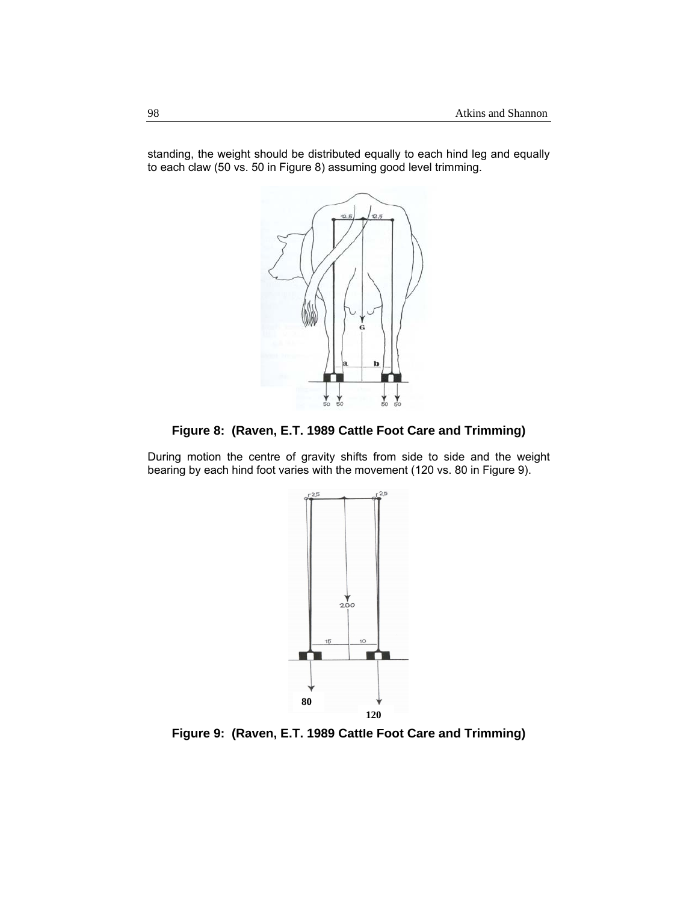standing, the weight should be distributed equally to each hind leg and equally to each claw (50 vs. 50 in Figure 8) assuming good level trimming.



**Figure 8: (Raven, E.T. 1989 Cattle Foot Care and Trimming)** 

During motion the centre of gravity shifts from side to side and the weight bearing by each hind foot varies with the movement (120 vs. 80 in Figure 9).



**Figure 9: (Raven, E.T. 1989 Cattle Foot Care and Trimming)**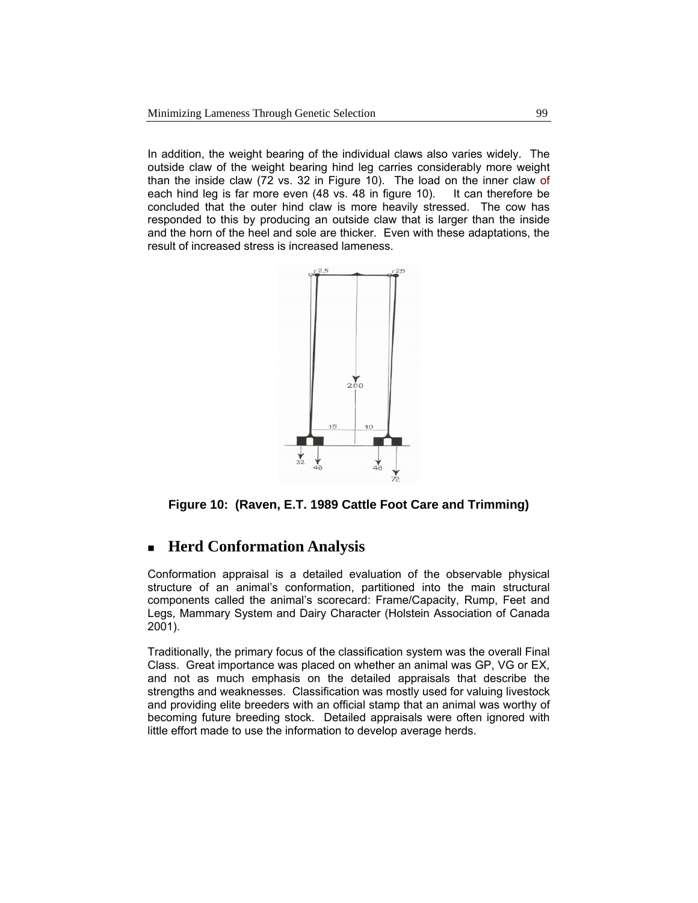In addition, the weight bearing of the individual claws also varies widely. The outside claw of the weight bearing hind leg carries considerably more weight than the inside claw (72 vs. 32 in Figure 10). The load on the inner claw of each hind leg is far more even (48 vs. 48 in figure 10). It can therefore be concluded that the outer hind claw is more heavily stressed. The cow has responded to this by producing an outside claw that is larger than the inside and the horn of the heel and sole are thicker. Even with these adaptations, the result of increased stress is increased lameness.



**Figure 10: (Raven, E.T. 1989 Cattle Foot Care and Trimming)** 

# **Herd Conformation Analysis**

Conformation appraisal is a detailed evaluation of the observable physical structure of an animal's conformation, partitioned into the main structural components called the animal's scorecard: Frame/Capacity, Rump, Feet and Legs, Mammary System and Dairy Character (Holstein Association of Canada 2001).

Traditionally, the primary focus of the classification system was the overall Final Class. Great importance was placed on whether an animal was GP, VG or EX, and not as much emphasis on the detailed appraisals that describe the strengths and weaknesses. Classification was mostly used for valuing livestock and providing elite breeders with an official stamp that an animal was worthy of becoming future breeding stock. Detailed appraisals were often ignored with little effort made to use the information to develop average herds.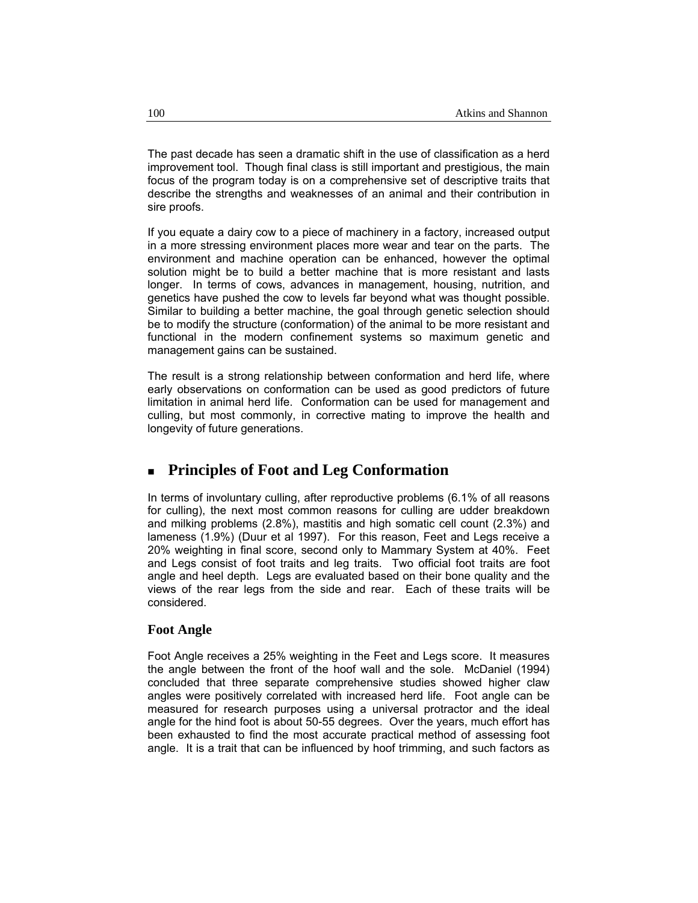The past decade has seen a dramatic shift in the use of classification as a herd improvement tool. Though final class is still important and prestigious, the main focus of the program today is on a comprehensive set of descriptive traits that describe the strengths and weaknesses of an animal and their contribution in sire proofs.

If you equate a dairy cow to a piece of machinery in a factory, increased output in a more stressing environment places more wear and tear on the parts. The environment and machine operation can be enhanced, however the optimal solution might be to build a better machine that is more resistant and lasts longer. In terms of cows, advances in management, housing, nutrition, and genetics have pushed the cow to levels far beyond what was thought possible. Similar to building a better machine, the goal through genetic selection should be to modify the structure (conformation) of the animal to be more resistant and functional in the modern confinement systems so maximum genetic and management gains can be sustained.

The result is a strong relationship between conformation and herd life, where early observations on conformation can be used as good predictors of future limitation in animal herd life. Conformation can be used for management and culling, but most commonly, in corrective mating to improve the health and longevity of future generations.

# **Principles of Foot and Leg Conformation**

In terms of involuntary culling, after reproductive problems (6.1% of all reasons for culling), the next most common reasons for culling are udder breakdown and milking problems (2.8%), mastitis and high somatic cell count (2.3%) and lameness (1.9%) (Duur et al 1997). For this reason, Feet and Legs receive a 20% weighting in final score, second only to Mammary System at 40%. Feet and Legs consist of foot traits and leg traits. Two official foot traits are foot angle and heel depth. Legs are evaluated based on their bone quality and the views of the rear legs from the side and rear. Each of these traits will be considered.

#### **Foot Angle**

Foot Angle receives a 25% weighting in the Feet and Legs score. It measures the angle between the front of the hoof wall and the sole. McDaniel (1994) concluded that three separate comprehensive studies showed higher claw angles were positively correlated with increased herd life. Foot angle can be measured for research purposes using a universal protractor and the ideal angle for the hind foot is about 50-55 degrees. Over the years, much effort has been exhausted to find the most accurate practical method of assessing foot angle. It is a trait that can be influenced by hoof trimming, and such factors as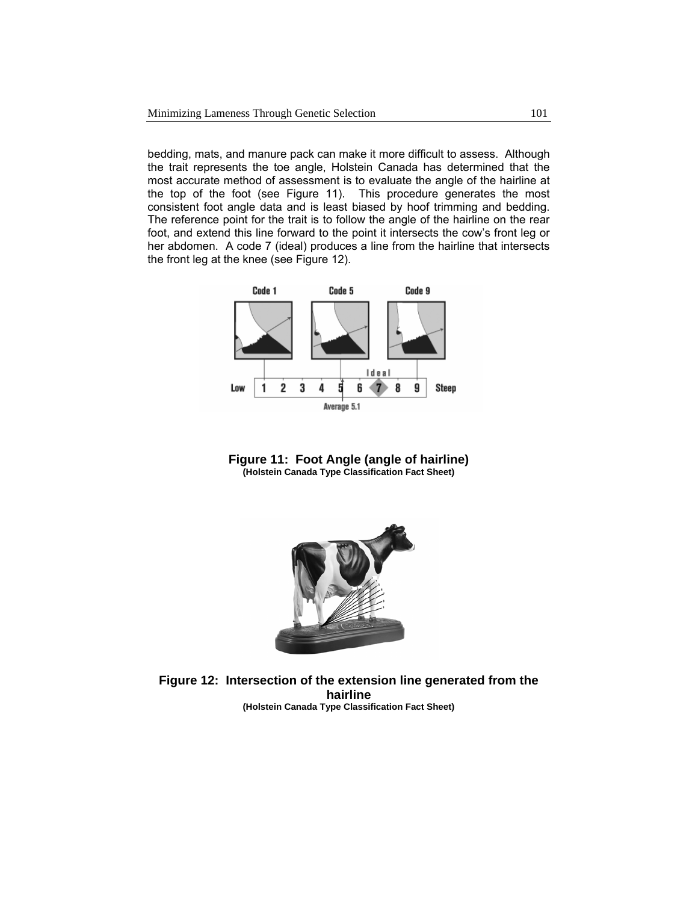bedding, mats, and manure pack can make it more difficult to assess. Although the trait represents the toe angle, Holstein Canada has determined that the most accurate method of assessment is to evaluate the angle of the hairline at the top of the foot (see Figure 11). This procedure generates the most consistent foot angle data and is least biased by hoof trimming and bedding. The reference point for the trait is to follow the angle of the hairline on the rear foot, and extend this line forward to the point it intersects the cow's front leg or her abdomen. A code 7 (ideal) produces a line from the hairline that intersects the front leg at the knee (see Figure 12).







**Figure 12: Intersection of the extension line generated from the hairline (Holstein Canada Type Classification Fact Sheet)**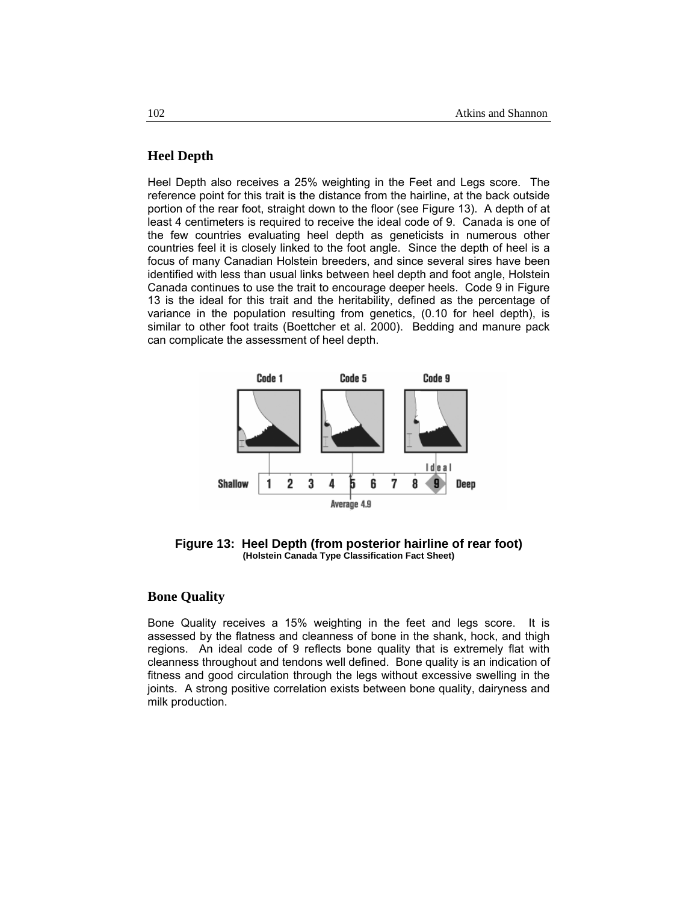## **Heel Depth**

Heel Depth also receives a 25% weighting in the Feet and Legs score. The reference point for this trait is the distance from the hairline, at the back outside portion of the rear foot, straight down to the floor (see Figure 13). A depth of at least 4 centimeters is required to receive the ideal code of 9. Canada is one of the few countries evaluating heel depth as geneticists in numerous other countries feel it is closely linked to the foot angle. Since the depth of heel is a focus of many Canadian Holstein breeders, and since several sires have been identified with less than usual links between heel depth and foot angle, Holstein Canada continues to use the trait to encourage deeper heels. Code 9 in Figure 13 is the ideal for this trait and the heritability, defined as the percentage of variance in the population resulting from genetics, (0.10 for heel depth), is similar to other foot traits (Boettcher et al. 2000). Bedding and manure pack can complicate the assessment of heel depth.



**Figure 13: Heel Depth (from posterior hairline of rear foot) (Holstein Canada Type Classification Fact Sheet)** 

### **Bone Quality**

Bone Quality receives a 15% weighting in the feet and legs score. It is assessed by the flatness and cleanness of bone in the shank, hock, and thigh regions. An ideal code of 9 reflects bone quality that is extremely flat with cleanness throughout and tendons well defined. Bone quality is an indication of fitness and good circulation through the legs without excessive swelling in the joints. A strong positive correlation exists between bone quality, dairyness and milk production.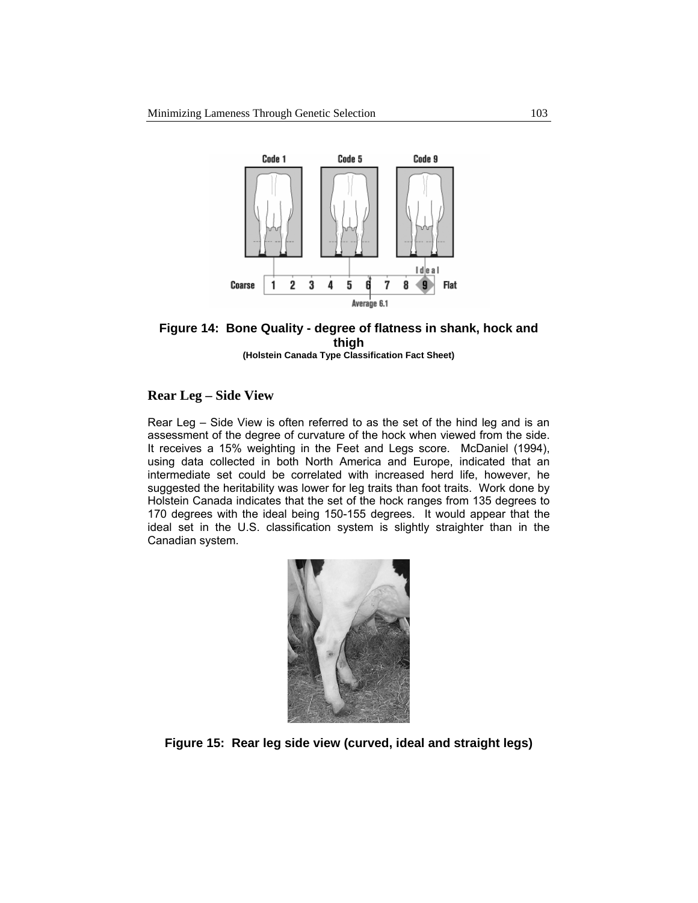

## **Figure 14: Bone Quality - degree of flatness in shank, hock and thigh**

**(Holstein Canada Type Classification Fact Sheet)** 

## **Rear Leg – Side View**

Rear Leg – Side View is often referred to as the set of the hind leg and is an assessment of the degree of curvature of the hock when viewed from the side. It receives a 15% weighting in the Feet and Legs score. McDaniel (1994), using data collected in both North America and Europe, indicated that an intermediate set could be correlated with increased herd life, however, he suggested the heritability was lower for leg traits than foot traits. Work done by Holstein Canada indicates that the set of the hock ranges from 135 degrees to 170 degrees with the ideal being 150-155 degrees. It would appear that the ideal set in the U.S. classification system is slightly straighter than in the Canadian system.



**Figure 15: Rear leg side view (curved, ideal and straight legs)**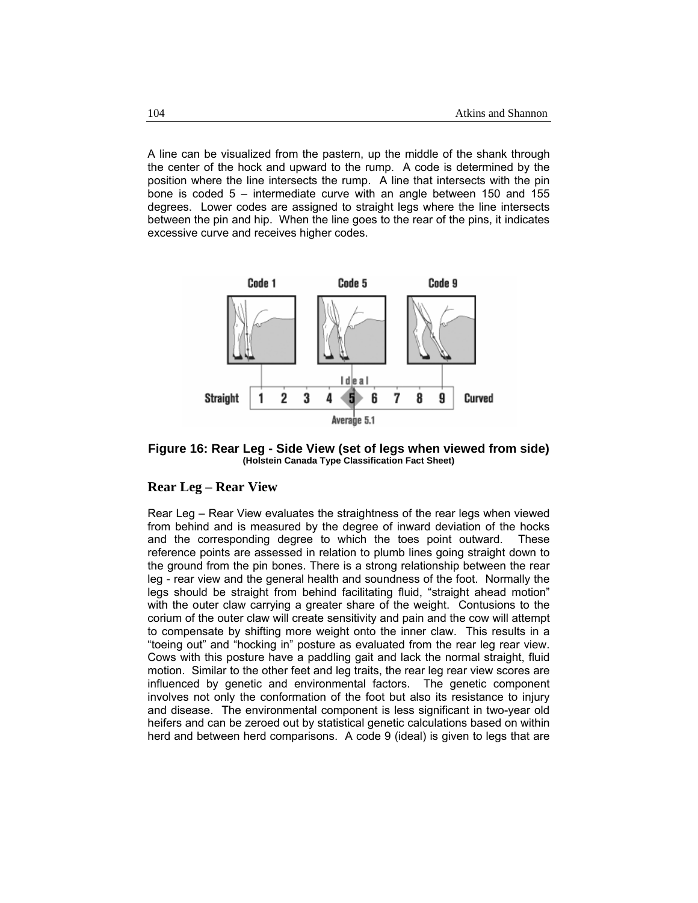A line can be visualized from the pastern, up the middle of the shank through the center of the hock and upward to the rump. A code is determined by the position where the line intersects the rump. A line that intersects with the pin bone is coded 5 – intermediate curve with an angle between 150 and 155 degrees. Lower codes are assigned to straight legs where the line intersects between the pin and hip. When the line goes to the rear of the pins, it indicates excessive curve and receives higher codes.



**Figure 16: Rear Leg - Side View (set of legs when viewed from side) (Holstein Canada Type Classification Fact Sheet)** 

#### **Rear Leg – Rear View**

Rear Leg – Rear View evaluates the straightness of the rear legs when viewed from behind and is measured by the degree of inward deviation of the hocks and the corresponding degree to which the toes point outward. These reference points are assessed in relation to plumb lines going straight down to the ground from the pin bones. There is a strong relationship between the rear leg - rear view and the general health and soundness of the foot. Normally the legs should be straight from behind facilitating fluid, "straight ahead motion" with the outer claw carrying a greater share of the weight. Contusions to the corium of the outer claw will create sensitivity and pain and the cow will attempt to compensate by shifting more weight onto the inner claw. This results in a "toeing out" and "hocking in" posture as evaluated from the rear leg rear view. Cows with this posture have a paddling gait and lack the normal straight, fluid motion. Similar to the other feet and leg traits, the rear leg rear view scores are influenced by genetic and environmental factors. The genetic component involves not only the conformation of the foot but also its resistance to injury and disease. The environmental component is less significant in two-year old heifers and can be zeroed out by statistical genetic calculations based on within herd and between herd comparisons. A code 9 (ideal) is given to legs that are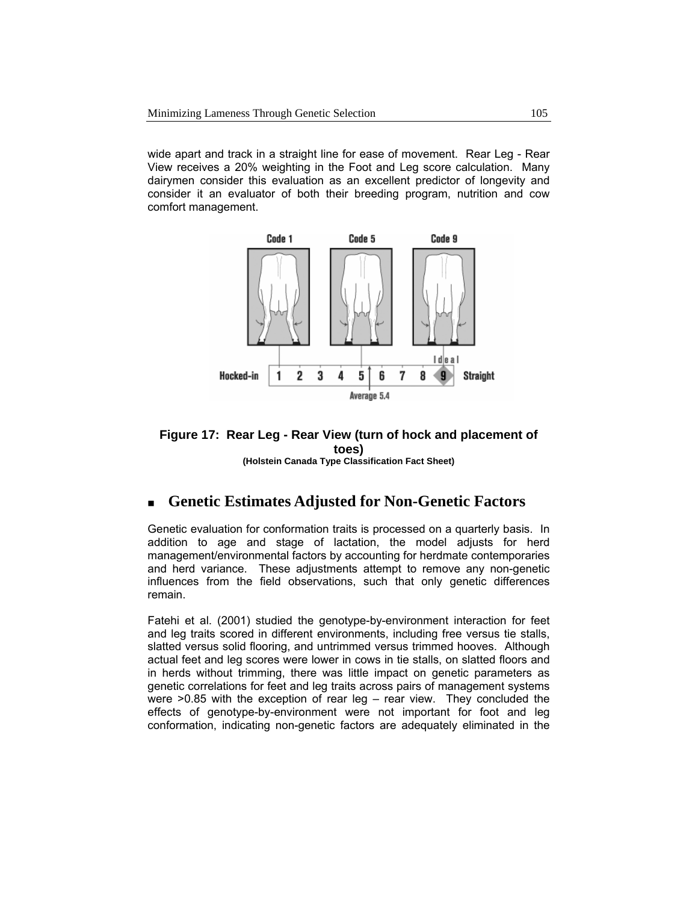wide apart and track in a straight line for ease of movement. Rear Leg - Rear View receives a 20% weighting in the Foot and Leg score calculation. Many dairymen consider this evaluation as an excellent predictor of longevity and consider it an evaluator of both their breeding program, nutrition and cow comfort management.



#### **Figure 17: Rear Leg - Rear View (turn of hock and placement of toes) (Holstein Canada Type Classification Fact Sheet)**

## **Genetic Estimates Adjusted for Non-Genetic Factors**

Genetic evaluation for conformation traits is processed on a quarterly basis. In addition to age and stage of lactation, the model adjusts for herd management/environmental factors by accounting for herdmate contemporaries and herd variance. These adjustments attempt to remove any non-genetic influences from the field observations, such that only genetic differences remain.

Fatehi et al. (2001) studied the genotype-by-environment interaction for feet and leg traits scored in different environments, including free versus tie stalls, slatted versus solid flooring, and untrimmed versus trimmed hooves. Although actual feet and leg scores were lower in cows in tie stalls, on slatted floors and in herds without trimming, there was little impact on genetic parameters as genetic correlations for feet and leg traits across pairs of management systems were >0.85 with the exception of rear leg – rear view. They concluded the effects of genotype-by-environment were not important for foot and leg conformation, indicating non-genetic factors are adequately eliminated in the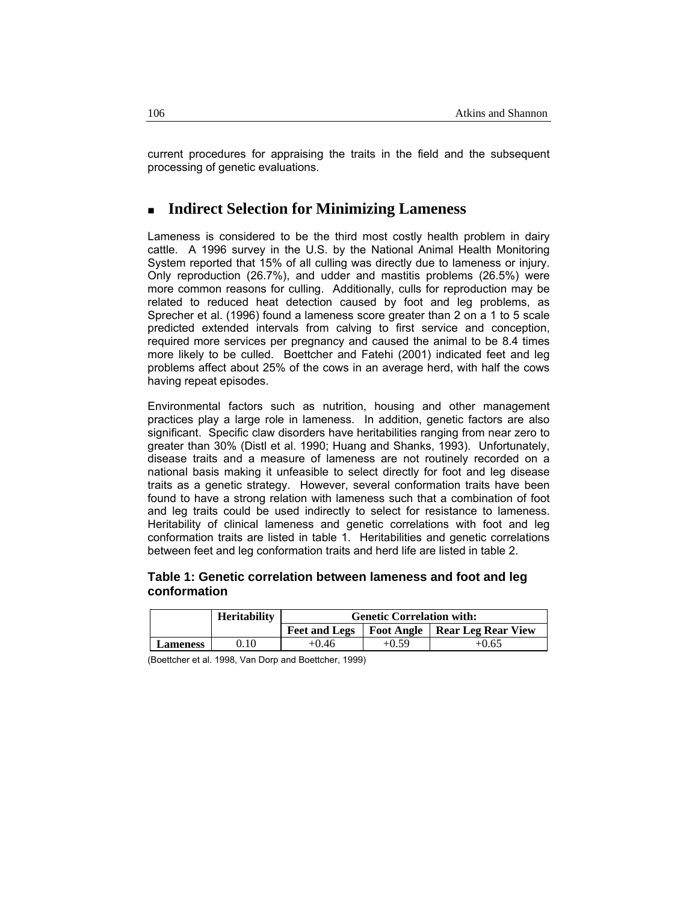current procedures for appraising the traits in the field and the subsequent processing of genetic evaluations.

# **Indirect Selection for Minimizing Lameness**

Lameness is considered to be the third most costly health problem in dairy cattle. A 1996 survey in the U.S. by the National Animal Health Monitoring System reported that 15% of all culling was directly due to lameness or injury. Only reproduction (26.7%), and udder and mastitis problems (26.5%) were more common reasons for culling. Additionally, culls for reproduction may be related to reduced heat detection caused by foot and leg problems, as Sprecher et al. (1996) found a lameness score greater than 2 on a 1 to 5 scale predicted extended intervals from calving to first service and conception, required more services per pregnancy and caused the animal to be 8.4 times more likely to be culled. Boettcher and Fatehi (2001) indicated feet and leg problems affect about 25% of the cows in an average herd, with half the cows having repeat episodes.

Environmental factors such as nutrition, housing and other management practices play a large role in lameness. In addition, genetic factors are also significant. Specific claw disorders have heritabilities ranging from near zero to greater than 30% (Distl et al. 1990; Huang and Shanks, 1993). Unfortunately, disease traits and a measure of lameness are not routinely recorded on a national basis making it unfeasible to select directly for foot and leg disease traits as a genetic strategy. However, several conformation traits have been found to have a strong relation with lameness such that a combination of foot and leg traits could be used indirectly to select for resistance to lameness. Heritability of clinical lameness and genetic correlations with foot and leg conformation traits are listed in table 1. Heritabilities and genetic correlations between feet and leg conformation traits and herd life are listed in table 2.

## **Table 1: Genetic correlation between lameness and foot and leg conformation**

|                 | <b>Heritability</b> | <b>Genetic Correlation with:</b> |         |                                                 |
|-----------------|---------------------|----------------------------------|---------|-------------------------------------------------|
|                 |                     |                                  |         | Feet and Legs   Foot Angle   Rear Leg Rear View |
| <b>Lameness</b> | 0.10                | $+0.46$                          | $+0.59$ | $+0.65$                                         |

(Boettcher et al. 1998, Van Dorp and Boettcher, 1999)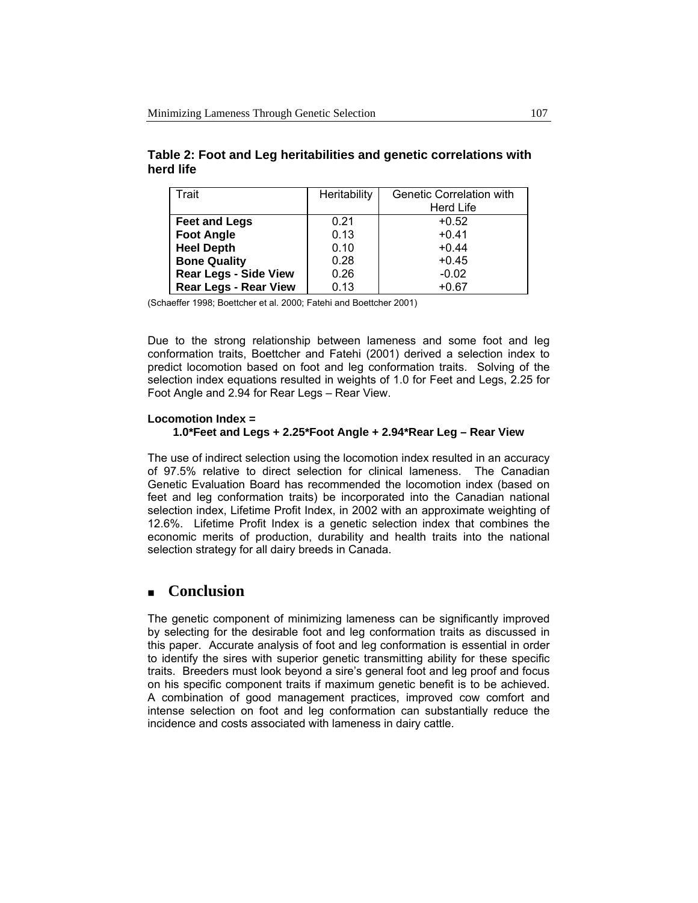| Trait                        | Heritability | <b>Genetic Correlation with</b> |
|------------------------------|--------------|---------------------------------|
|                              |              | Herd Life                       |
| <b>Feet and Legs</b>         | 0.21         | $+0.52$                         |
| <b>Foot Angle</b>            | 0.13         | $+0.41$                         |
| <b>Heel Depth</b>            | 0.10         | $+0.44$                         |
| <b>Bone Quality</b>          | 0.28         | $+0.45$                         |
| <b>Rear Legs - Side View</b> | 0.26         | $-0.02$                         |
| <b>Rear Legs - Rear View</b> | 0.13         | $+0.67$                         |

**Table 2: Foot and Leg heritabilities and genetic correlations with herd life** 

(Schaeffer 1998; Boettcher et al. 2000; Fatehi and Boettcher 2001)

Due to the strong relationship between lameness and some foot and leg conformation traits, Boettcher and Fatehi (2001) derived a selection index to predict locomotion based on foot and leg conformation traits. Solving of the selection index equations resulted in weights of 1.0 for Feet and Legs, 2.25 for Foot Angle and 2.94 for Rear Legs – Rear View.

#### **Locomotion Index = 1.0\*Feet and Legs + 2.25\*Foot Angle + 2.94\*Rear Leg – Rear View**

The use of indirect selection using the locomotion index resulted in an accuracy of 97.5% relative to direct selection for clinical lameness. The Canadian Genetic Evaluation Board has recommended the locomotion index (based on feet and leg conformation traits) be incorporated into the Canadian national selection index, Lifetime Profit Index, in 2002 with an approximate weighting of 12.6%. Lifetime Profit Index is a genetic selection index that combines the economic merits of production, durability and health traits into the national selection strategy for all dairy breeds in Canada.

## **Conclusion**

The genetic component of minimizing lameness can be significantly improved by selecting for the desirable foot and leg conformation traits as discussed in this paper. Accurate analysis of foot and leg conformation is essential in order to identify the sires with superior genetic transmitting ability for these specific traits. Breeders must look beyond a sire's general foot and leg proof and focus on his specific component traits if maximum genetic benefit is to be achieved. A combination of good management practices, improved cow comfort and intense selection on foot and leg conformation can substantially reduce the incidence and costs associated with lameness in dairy cattle.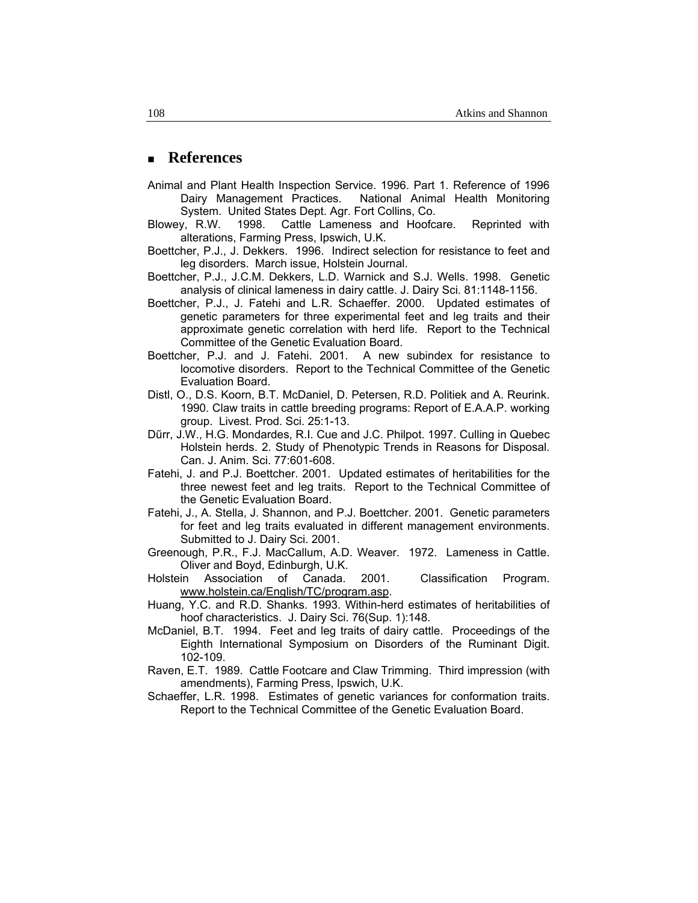## **References**

- Animal and Plant Health Inspection Service. 1996. Part 1. Reference of 1996 Dairy Management Practices. National Animal Health Monitoring System. United States Dept. Agr. Fort Collins, Co.
- Blowey, R.W. 1998. Cattle Lameness and Hoofcare. Reprinted with alterations, Farming Press, Ipswich, U.K.
- Boettcher, P.J., J. Dekkers. 1996. Indirect selection for resistance to feet and leg disorders. March issue, Holstein Journal.
- Boettcher, P.J., J.C.M. Dekkers, L.D. Warnick and S.J. Wells. 1998. Genetic analysis of clinical lameness in dairy cattle. J. Dairy Sci. 81:1148-1156.
- Boettcher, P.J., J. Fatehi and L.R. Schaeffer. 2000. Updated estimates of genetic parameters for three experimental feet and leg traits and their approximate genetic correlation with herd life. Report to the Technical Committee of the Genetic Evaluation Board.
- Boettcher, P.J. and J. Fatehi. 2001. A new subindex for resistance to locomotive disorders. Report to the Technical Committee of the Genetic Evaluation Board.
- Distl, O., D.S. Koorn, B.T. McDaniel, D. Petersen, R.D. Politiek and A. Reurink. 1990. Claw traits in cattle breeding programs: Report of E.A.A.P. working group. Livest. Prod. Sci. 25:1-13.
- Dűrr, J.W., H.G. Mondardes, R.I. Cue and J.C. Philpot. 1997. Culling in Quebec Holstein herds. 2. Study of Phenotypic Trends in Reasons for Disposal. Can. J. Anim. Sci. 77:601-608.
- Fatehi, J. and P.J. Boettcher. 2001. Updated estimates of heritabilities for the three newest feet and leg traits. Report to the Technical Committee of the Genetic Evaluation Board.
- Fatehi, J., A. Stella, J. Shannon, and P.J. Boettcher. 2001. Genetic parameters for feet and leg traits evaluated in different management environments. Submitted to J. Dairy Sci. 2001.
- Greenough, P.R., F.J. MacCallum, A.D. Weaver. 1972. Lameness in Cattle. Oliver and Boyd, Edinburgh, U.K.
- Holstein Association of Canada. 2001. Classification Program. www.holstein.ca/English/TC/program.asp.
- Huang, Y.C. and R.D. Shanks. 1993. Within-herd estimates of heritabilities of hoof characteristics. J. Dairy Sci. 76(Sup. 1):148.
- McDaniel, B.T. 1994. Feet and leg traits of dairy cattle. Proceedings of the Eighth International Symposium on Disorders of the Ruminant Digit. 102-109.
- Raven, E.T. 1989. Cattle Footcare and Claw Trimming. Third impression (with amendments), Farming Press, Ipswich, U.K.
- Schaeffer, L.R. 1998. Estimates of genetic variances for conformation traits. Report to the Technical Committee of the Genetic Evaluation Board.